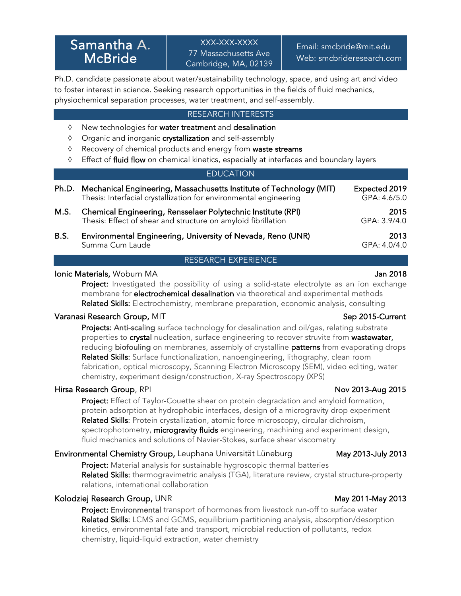Ph.D. candidate passionate about water/sustainability technology, space, and using art and video to foster interest in science. Seeking research opportunities in the fields of fluid mechanics, physiochemical separation processes, water treatment, and self-assembly.

## RESEARCH INTERESTS

- $\Diamond$  New technologies for water treatment and desalination
- $\Diamond$  Organic and inorganic crystallization and self-assembly
- $\Diamond$  Recovery of chemical products and energy from waste streams
- <sup> $\Diamond$ </sup> Effect of fluid flow on chemical kinetics, especially at interfaces and boundary layers

### **EDUCATION**

|      | Ph.D. Mechanical Engineering, Massachusetts Institute of Technology (MIT)<br>Thesis: Interfacial crystallization for environmental engineering | Expected 2019<br>GPA: 4.6/5.0 |
|------|------------------------------------------------------------------------------------------------------------------------------------------------|-------------------------------|
| M.S. | Chemical Engineering, Rensselaer Polytechnic Institute (RPI)<br>Thesis: Effect of shear and structure on amyloid fibrillation                  | 2015<br>GPA: 3.9/4.0          |
| B.S. | Environmental Engineering, University of Nevada, Reno (UNR)<br>Summa Cum Laude                                                                 | 2013<br>GPA: 4.0/4.0          |

### RESEARCH EXPERIENCE

### Ionic Materials, Woburn MA Jan 2018

Project: Investigated the possibility of using a solid-state electrolyte as an ion exchange membrane for **electrochemical desalination** via theoretical and experimental methods Related Skills: Electrochemistry, membrane preparation, economic analysis, consulting

### Varanasi Research Group, MIT Sep 2015-Current

Projects: Anti-scaling surface technology for desalination and oil/gas, relating substrate properties to **crystal** nucleation, surface engineering to recover struvite from wastewater, reducing biofouling on membranes, assembly of crystalline patterns from evaporating drops Related Skills: Surface functionalization, nanoengineering, lithography, clean room fabrication, optical microscopy, Scanning Electron Microscopy (SEM), video editing, water chemistry, experiment design/construction, X-ray Spectroscopy (XPS)

### Hirsa Research Group, RPI Nov 2013-Aug 2015

**Project:** Effect of Taylor-Couette shear on protein degradation and amyloid formation, protein adsorption at hydrophobic interfaces, design of a microgravity drop experiment Related Skills: Protein crystallization, atomic force microscopy, circular dichroism, spectrophotometry, microgravity fluids engineering, machining and experiment design, fluid mechanics and solutions of Navier-Stokes, surface shear viscometry

### Environmental Chemistry Group, Leuphana Universität Lüneburg May 2013-July 2013

Project: Material analysis for sustainable hygroscopic thermal batteries Related Skills: thermogravimetric analysis (TGA), literature review, crystal structure-property relations, international collaboration

### Kolodziej Research Group, UNR May 2012 May 2011-May 2013

Project: Environmental transport of hormones from livestock run-off to surface water Related Skills: LCMS and GCMS, equilibrium partitioning analysis, absorption/desorption kinetics, environmental fate and transport, microbial reduction of pollutants, redox chemistry, liquid-liquid extraction, water chemistry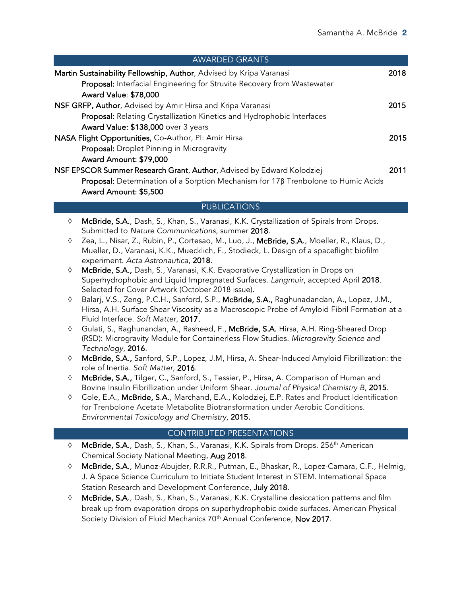| <b>AWARDED GRANTS</b>                                                             |      |
|-----------------------------------------------------------------------------------|------|
| Martin Sustainability Fellowship, Author, Advised by Kripa Varanasi               |      |
| Proposal: Interfacial Engineering for Struvite Recovery from Wastewater           |      |
| <b>Award Value: \$78,000</b>                                                      |      |
| NSF GRFP, Author, Advised by Amir Hirsa and Kripa Varanasi                        | 2015 |
| Proposal: Relating Crystallization Kinetics and Hydrophobic Interfaces            |      |
| Award Value: \$138,000 over 3 years                                               |      |
| NASA Flight Opportunities, Co-Author, PI: Amir Hirsa                              | 2015 |
| Proposal: Droplet Pinning in Microgravity                                         |      |
| Award Amount: \$79,000                                                            |      |
| NSF EPSCOR Summer Research Grant, Author, Advised by Edward Kolodziej             |      |
| Proposal: Determination of a Sorption Mechanism for 178 Trenbolone to Humic Acids |      |
| Award Amount: \$5,500                                                             |      |

# PUBLICATIONS

- à McBride, S.A., Dash, S., Khan, S., Varanasi, K.K. Crystallization of Spirals from Drops. Submitted to *Nature Communications*, summer 2018.
- à Zea, L., Nisar, Z., Rubin, P., Cortesao, M., Luo, J., McBride, S.A., Moeller, R., Klaus, D., Mueller, D., Varanasi, K.K., Muecklich, F., Stodieck, L. Design of a spaceflight biofilm experiment. *Acta Astronautica*, 2018.
- à McBride, S.A., Dash, S., Varanasi, K.K. Evaporative Crystallization in Drops on Superhydrophobic and Liquid Impregnated Surfaces. *Langmuir*, accepted April 2018. Selected for Cover Artwork (October 2018 issue).
- Balarj, V.S., Zeng, P.C.H., Sanford, S.P., McBride, S.A., Raghunadandan, A., Lopez, J.M., Hirsa, A.H. Surface Shear Viscosity as a Macroscopic Probe of Amyloid Fibril Formation at a Fluid Interface. *Soft Matter*, 2017.
- $\Diamond$  Gulati, S., Raghunandan, A., Rasheed, F., McBride, S.A. Hirsa, A.H. Ring-Sheared Drop (RSD): Microgravity Module for Containerless Flow Studies. *Microgravity Science and Technology*, 2016.
- à McBride, S.A., Sanford, S.P., Lopez, J.M, Hirsa, A. Shear-Induced Amyloid Fibrillization: the role of Inertia. *Soft Matter,* 2016.
- à McBride, S.A., Tilger, C., Sanford, S., Tessier, P., Hirsa, A. Comparison of Human and Bovine Insulin Fibrillization under Uniform Shear. *Journal of Physical Chemistry B*, 2015.
- à Cole, E.A., McBride, S.A., Marchand, E.A., Kolodziej, E.P. Rates and Product Identification for Trenbolone Acetate Metabolite Biotransformation under Aerobic Conditions. *Environmental Toxicology and Chemistry*, 2015.

## CONTRIBUTED PRESENTATIONS

- ♦ McBride, S.A., Dash, S., Khan, S., Varanasi, K.K. Spirals from Drops. 256<sup>th</sup> American Chemical Society National Meeting, Aug 2018.
- à McBride, S.A., Munoz-Abujder, R.R.R., Putman, E., Bhaskar, R., Lopez-Camara, C.F., Helmig, J. A Space Science Curriculum to Initiate Student Interest in STEM. International Space Station Research and Development Conference, July 2018.
- $\Diamond$  McBride, S.A., Dash, S., Khan, S., Varanasi, K.K. Crystalline desiccation patterns and film break up from evaporation drops on superhydrophobic oxide surfaces. American Physical Society Division of Fluid Mechanics 70<sup>th</sup> Annual Conference, Nov 2017.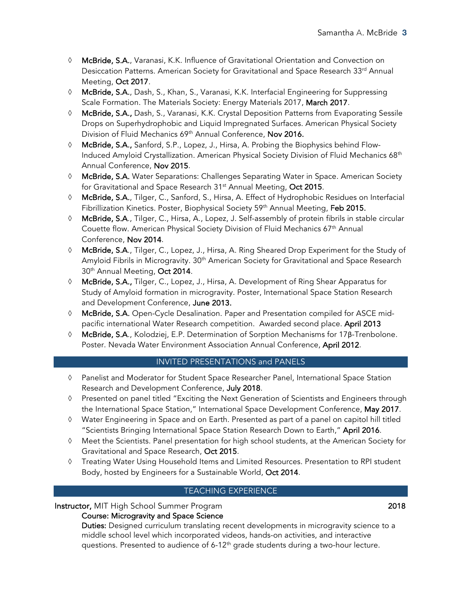- à McBride, S.A., Varanasi, K.K. Influence of Gravitational Orientation and Convection on Desiccation Patterns. American Society for Gravitational and Space Research 33rd Annual Meeting, Oct 2017.
- $\Diamond$  McBride, S.A., Dash, S., Khan, S., Varanasi, K.K. Interfacial Engineering for Suppressing Scale Formation. The Materials Society: Energy Materials 2017, March 2017.
- $\Diamond$  McBride, S.A., Dash, S., Varanasi, K.K. Crystal Deposition Patterns from Evaporating Sessile Drops on Superhydrophobic and Liquid Impregnated Surfaces. American Physical Society Division of Fluid Mechanics 69<sup>th</sup> Annual Conference, Nov 2016.
- à McBride, S.A., Sanford, S.P., Lopez, J., Hirsa, A. Probing the Biophysics behind Flow-Induced Amyloid Crystallization. American Physical Society Division of Fluid Mechanics 68<sup>th</sup> Annual Conference, Nov 2015.
- à McBride, S.A. Water Separations: Challenges Separating Water in Space. American Society for Gravitational and Space Research 31<sup>st</sup> Annual Meeting, Oct 2015.
- à McBride, S.A., Tilger, C., Sanford, S., Hirsa, A. Effect of Hydrophobic Residues on Interfacial Fibrillization Kinetics. Poster, Biophysical Society 59<sup>th</sup> Annual Meeting, Feb 2015.
- à McBride, S.A., Tilger, C., Hirsa, A., Lopez, J. Self-assembly of protein fibrils in stable circular Couette flow. American Physical Society Division of Fluid Mechanics 67<sup>th</sup> Annual Conference, Nov 2014.
- à McBride, S.A., Tilger, C., Lopez, J., Hirsa, A. Ring Sheared Drop Experiment for the Study of Amyloid Fibrils in Microgravity. 30<sup>th</sup> American Society for Gravitational and Space Research 30<sup>th</sup> Annual Meeting, Oct 2014.
- à McBride, S.A., Tilger, C., Lopez, J., Hirsa, A. Development of Ring Shear Apparatus for Study of Amyloid formation in microgravity. Poster, International Space Station Research and Development Conference, June 2013.
- à McBride, S.A. Open-Cycle Desalination. Paper and Presentation compiled for ASCE midpacific international Water Research competition. Awarded second place. April 2013
- à McBride, S.A., Kolodziej, E.P. Determination of Sorption Mechanisms for 17β-Trenbolone. Poster. Nevada Water Environment Association Annual Conference, April 2012.

# INVITED PRESENTATIONS and PANELS

- à Panelist and Moderator for Student Space Researcher Panel, International Space Station Research and Development Conference, July 2018.
- $\Diamond$  Presented on panel titled "Exciting the Next Generation of Scientists and Engineers through the International Space Station," International Space Development Conference, May 2017.
- à Water Engineering in Space and on Earth. Presented as part of a panel on capitol hill titled "Scientists Bringing International Space Station Research Down to Earth," April 2016.
- $\Diamond$  Meet the Scientists. Panel presentation for high school students, at the American Society for Gravitational and Space Research, Oct 2015.
- à Treating Water Using Household Items and Limited Resources. Presentation to RPI student Body, hosted by Engineers for a Sustainable World, Oct 2014.

# TEACHING EXPERIENCE

## Instructor, MIT High School Summer Program 2018

## Course: Microgravity and Space Science

Duties: Designed curriculum translating recent developments in microgravity science to a middle school level which incorporated videos, hands-on activities, and interactive questions. Presented to audience of 6-12<sup>th</sup> grade students during a two-hour lecture.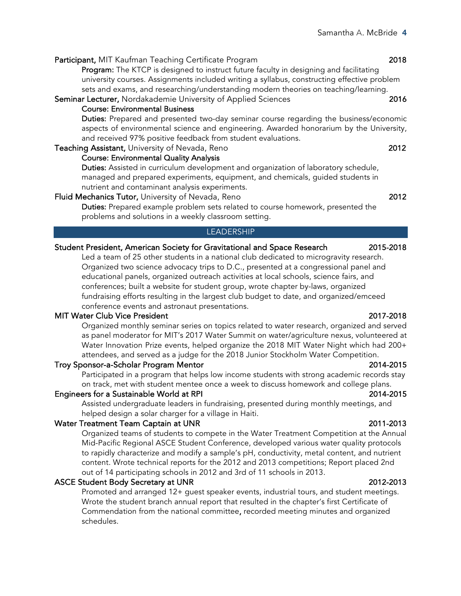Participant, MIT Kaufman Teaching Certificate Program 2018 Program: The KTCP is designed to instruct future faculty in designing and facilitating university courses. Assignments included writing a syllabus, constructing effective problem sets and exams, and researching/understanding modern theories on teaching/learning. Seminar Lecturer, Nordakademie University of Applied Sciences 2016 Course: Environmental Business

Duties: Prepared and presented two-day seminar course regarding the business/economic aspects of environmental science and engineering. Awarded honorarium by the University, and received 97% positive feedback from student evaluations.

### Teaching Assistant, University of Nevada, Reno 2012 Course: Environmental Quality Analysis

Duties: Assisted in curriculum development and organization of laboratory schedule, managed and prepared experiments, equipment, and chemicals, guided students in nutrient and contaminant analysis experiments.

# Fluid Mechanics Tutor, University of Nevada, Reno 2012

Duties: Prepared example problem sets related to course homework, presented the problems and solutions in a weekly classroom setting.

# **LEADERSHIP**

# Student President, American Society for Gravitational and Space Research 2015-2018

Led a team of 25 other students in a national club dedicated to microgravity research. Organized two science advocacy trips to D.C., presented at a congressional panel and educational panels, organized outreach activities at local schools, science fairs, and conferences; built a website for student group, wrote chapter by-laws, organized fundraising efforts resulting in the largest club budget to date, and organized/emceed conference events and astronaut presentations.

# MIT Water Club Vice President 2017-2018

Organized monthly seminar series on topics related to water research, organized and served as panel moderator for MIT's 2017 Water Summit on water/agriculture nexus, volunteered at Water Innovation Prize events, helped organize the 2018 MIT Water Night which had 200+ attendees, and served as a judge for the 2018 Junior Stockholm Water Competition.

# Troy Sponsor-a-Scholar Program Mentor 2014-2015

Participated in a program that helps low income students with strong academic records stay on track, met with student mentee once a week to discuss homework and college plans.

# Engineers for a Sustainable World at RPI 2014-2015

Assisted undergraduate leaders in fundraising, presented during monthly meetings, and helped design a solar charger for a village in Haiti.

# Water Treatment Team Captain at UNR 2011-2013

Organized teams of students to compete in the Water Treatment Competition at the Annual Mid-Pacific Regional ASCE Student Conference, developed various water quality protocols to rapidly characterize and modify a sample's pH, conductivity, metal content, and nutrient content. Wrote technical reports for the 2012 and 2013 competitions; Report placed 2nd out of 14 participating schools in 2012 and 3rd of 11 schools in 2013.

# ASCE Student Body Secretary at UNR 2012-2013

Promoted and arranged 12+ guest speaker events, industrial tours, and student meetings. Wrote the student branch annual report that resulted in the chapter's first Certificate of Commendation from the national committee, recorded meeting minutes and organized schedules.